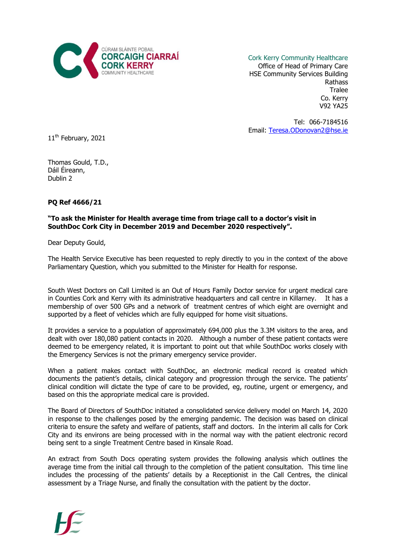

Cork Kerry Community Healthcare Office of Head of Primary Care HSE Community Services Building Rathass Tralee Co. Kerry V92 YA25

Tel: 066-7184516 Email: [Teresa.ODonovan2@hse.ie](mailto:Teresa.ODonovan2@hse.ie)

11<sup>th</sup> February, 2021

Thomas Gould, T.D., Dáil Éireann, Dublin 2

## **PQ Ref 4666/21**

## **"To ask the Minister for Health average time from triage call to a doctor's visit in SouthDoc Cork City in December 2019 and December 2020 respectively".**

Dear Deputy Gould,

The Health Service Executive has been requested to reply directly to you in the context of the above Parliamentary Question, which you submitted to the Minister for Health for response.

South West Doctors on Call Limited is an Out of Hours Family Doctor service for urgent medical care in Counties Cork and Kerry with its administrative headquarters and call centre in Killarney. It has a membership of over 500 GPs and a network of treatment centres of which eight are overnight and supported by a fleet of vehicles which are fully equipped for home visit situations.

It provides a service to a population of approximately 694,000 plus the 3.3M visitors to the area, and dealt with over 180,080 patient contacts in 2020. Although a number of these patient contacts were deemed to be emergency related, it is important to point out that while SouthDoc works closely with the Emergency Services is not the primary emergency service provider.

When a patient makes contact with SouthDoc, an electronic medical record is created which documents the patient's details, clinical category and progression through the service. The patients' clinical condition will dictate the type of care to be provided, eg, routine, urgent or emergency, and based on this the appropriate medical care is provided.

The Board of Directors of SouthDoc initiated a consolidated service delivery model on March 14, 2020 in response to the challenges posed by the emerging pandemic. The decision was based on clinical criteria to ensure the safety and welfare of patients, staff and doctors. In the interim all calls for Cork City and its environs are being processed with in the normal way with the patient electronic record being sent to a single Treatment Centre based in Kinsale Road.

An extract from South Docs operating system provides the following analysis which outlines the average time from the initial call through to the completion of the patient consultation. This time line includes the processing of the patients' details by a Receptionist in the Call Centres, the clinical assessment by a Triage Nurse, and finally the consultation with the patient by the doctor.